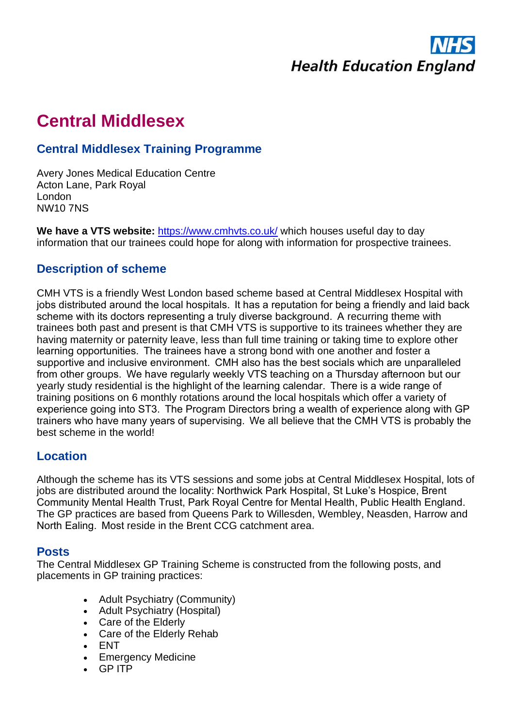

# **Central Middlesex**

## **Central Middlesex Training Programme**

Avery Jones Medical Education Centre Acton Lane, Park Royal London NW10 7NS

**We have a VTS website:** <https://www.cmhvts.co.uk/> which houses useful day to day information that our trainees could hope for along with information for prospective trainees.

### **Description of scheme**

CMH VTS is a friendly West London based scheme based at Central Middlesex Hospital with jobs distributed around the local hospitals.  It has a reputation for being a friendly and laid back scheme with its doctors representing a truly diverse background.  A recurring theme with trainees both past and present is that CMH VTS is supportive to its trainees whether they are having maternity or paternity leave, less than full time training or taking time to explore other learning opportunities.  The trainees have a strong bond with one another and foster a supportive and inclusive environment.  CMH also has the best socials which are unparalleled from other groups.  We have regularly weekly VTS teaching on a Thursday afternoon but our yearly study residential is the highlight of the learning calendar.  There is a wide range of training positions on 6 monthly rotations around the local hospitals which offer a variety of experience going into ST3.  The Program Directors bring a wealth of experience along with GP trainers who have many years of supervising.  We all believe that the CMH VTS is probably the best scheme in the world!

### **Location**

Although the scheme has its VTS sessions and some jobs at Central Middlesex Hospital, lots of jobs are distributed around the locality: Northwick Park Hospital, St Luke's Hospice, Brent Community Mental Health Trust, Park Royal Centre for Mental Health, Public Health England.  The GP practices are based from Queens Park to Willesden, Wembley, Neasden, Harrow and North Ealing.  Most reside in the Brent CCG catchment area.

#### **Posts**

The Central Middlesex GP Training Scheme is constructed from the following posts, and placements in GP training practices:

- Adult Psychiatry (Community)
- Adult Psychiatry (Hospital)
- Care of the Elderly
- Care of the Elderly Rehab
- ENT
- Emergency Medicine
- GP ITP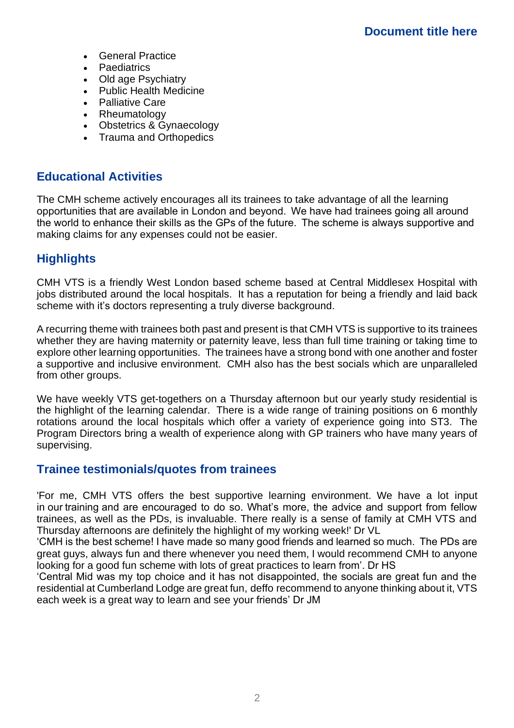- General Practice
- **Paediatrics**
- Old age Psychiatry
- Public Health Medicine
- Palliative Care
- Rheumatology
- Obstetrics & Gynaecology
- Trauma and Orthopedics

### **Educational Activities**

The CMH scheme actively encourages all its trainees to take advantage of all the learning opportunities that are available in London and beyond.  We have had trainees going all around the world to enhance their skills as the GPs of the future.  The scheme is always supportive and making claims for any expenses could not be easier.

# **Highlights**

CMH VTS is a friendly West London based scheme based at Central Middlesex Hospital with jobs distributed around the local hospitals. It has a reputation for being a friendly and laid back scheme with it's doctors representing a truly diverse background.

A recurring theme with trainees both past and present is that CMH VTS is supportive to its trainees whether they are having maternity or paternity leave, less than full time training or taking time to explore other learning opportunities. The trainees have a strong bond with one another and foster a supportive and inclusive environment. CMH also has the best socials which are unparalleled from other groups.

We have weekly VTS get-togethers on a Thursday afternoon but our yearly study residential is the highlight of the learning calendar. There is a wide range of training positions on 6 monthly rotations around the local hospitals which offer a variety of experience going into ST3. The Program Directors bring a wealth of experience along with GP trainers who have many years of supervising.

### **Trainee testimonials/quotes from trainees**

'For me, CMH VTS offers the best supportive learning environment. We have a lot input in our training and are encouraged to do so. What's more, the advice and support from fellow trainees, as well as the PDs, is invaluable. There really is a sense of family at CMH VTS and Thursday afternoons are definitely the highlight of my working week!' Dr VL

'CMH is the best scheme! I have made so many good friends and learned so much.  The PDs are great guys, always fun and there whenever you need them, I would recommend CMH to anyone looking for a good fun scheme with lots of great practices to learn from'. Dr HS

'Central Mid was my top choice and it has not disappointed, the socials are great fun and the residential at Cumberland Lodge are great fun, deffo recommend to anyone thinking about it, VTS each week is a great way to learn and see your friends' Dr JM